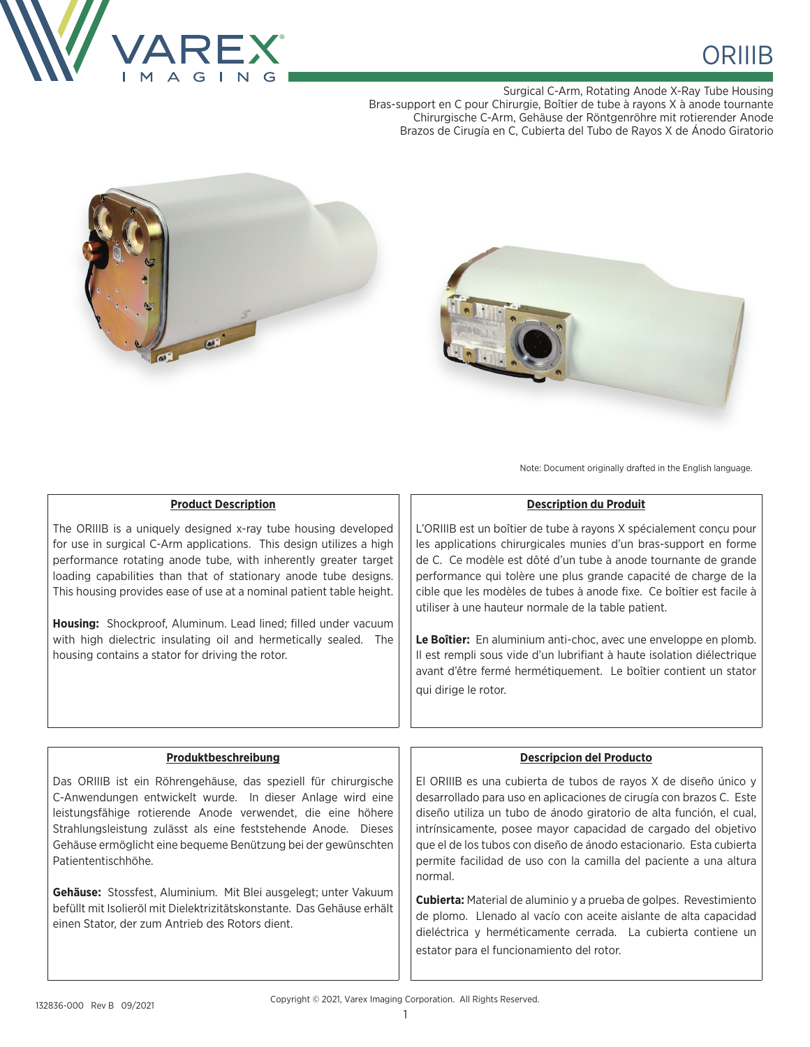

# **ORIIIB**

Surgical C-Arm, Rotating Anode X-Ray Tube Housing Bras-support en C pour Chirurgie, Boîtier de tube à rayons X à anode tournante Chirurgische C-Arm, Gehäuse der Röntgenröhre mit rotierender Anode Brazos de Cirugía en C, Cubierta del Tubo de Rayos X de Ánodo Giratorio





Note: Document originally drafted in the English language.

# **Product Description**

The ORIIIB is a uniquely designed x-ray tube housing developed for use in surgical C-Arm applications. This design utilizes a high performance rotating anode tube, with inherently greater target loading capabilities than that of stationary anode tube designs. This housing provides ease of use at a nominal patient table height.

**Housing:** Shockproof, Aluminum. Lead lined; filled under vacuum with high dielectric insulating oil and hermetically sealed. The housing contains a stator for driving the rotor.

L'ORIIIB est un boîtier de tube à rayons X spécialement conçu pour les applications chirurgicales munies d'un bras-support en forme de C. Ce modèle est dôté d'un tube à anode tournante de grande performance qui tolère une plus grande capacité de charge de la cible que les modèles de tubes à anode fixe. Ce boîtier est facile à utiliser à une hauteur normale de la table patient.

**Description du Produit**

**Le Boîtier:** En aluminium anti-choc, avec une enveloppe en plomb. Il est rempli sous vide d'un lubrifiant à haute isolation diélectrique avant d'être fermé hermétiquement. Le boîtier contient un stator qui dirige le rotor.

# **Produktbeschreibung**

Das ORIIIB ist ein Röhrengehäuse, das speziell für chirurgische C-Anwendungen entwickelt wurde. In dieser Anlage wird eine leistungsfähige rotierende Anode verwendet, die eine höhere Strahlungsleistung zulässt als eine feststehende Anode. Dieses Gehäuse ermöglicht eine bequeme Benützung bei der gewünschten Patiententischhöhe.

**Gehäuse:** Stossfest, Aluminium. Mit Blei ausgelegt; unter Vakuum befüllt mit Isolieröl mit Dielektrizitätskonstante. Das Gehäuse erhält einen Stator, der zum Antrieb des Rotors dient.

# **Descripcion del Producto**

El ORIIIB es una cubierta de tubos de rayos X de diseño único y desarrollado para uso en aplicaciones de cirugía con brazos C. Este diseño utiliza un tubo de ánodo giratorio de alta función, el cual, intrínsicamente, posee mayor capacidad de cargado del objetivo que el de los tubos con diseño de ánodo estacionario. Esta cubierta permite facilidad de uso con la camilla del paciente a una altura normal.

**Cubierta:** Material de aluminio y a prueba de golpes. Revestimiento de plomo. Llenado al vacío con aceite aislante de alta capacidad dieléctrica y herméticamente cerrada. La cubierta contiene un estator para el funcionamiento del rotor.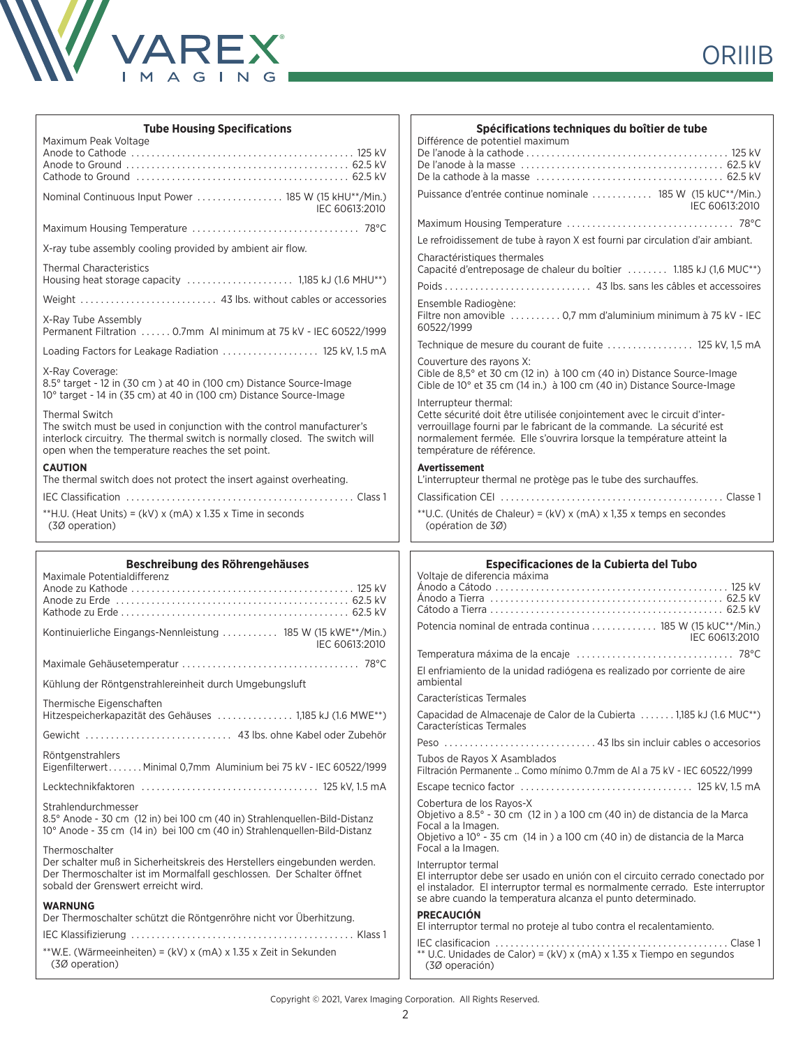

| <b>Tube Housing Specifications</b>                                                                                                                                                                                                 | Spécifications techniques du boîtier de tube                                                                                                                                                                                                          |
|------------------------------------------------------------------------------------------------------------------------------------------------------------------------------------------------------------------------------------|-------------------------------------------------------------------------------------------------------------------------------------------------------------------------------------------------------------------------------------------------------|
| Maximum Peak Voltage                                                                                                                                                                                                               | Différence de potentiel maximum                                                                                                                                                                                                                       |
|                                                                                                                                                                                                                                    |                                                                                                                                                                                                                                                       |
|                                                                                                                                                                                                                                    |                                                                                                                                                                                                                                                       |
| Nominal Continuous Input Power  185 W (15 kHU**/Min.)<br>IEC 60613:2010                                                                                                                                                            | Puissance d'entrée continue nominale  185 W (15 kUC**/Min.)<br>IEC 60613:2010                                                                                                                                                                         |
|                                                                                                                                                                                                                                    |                                                                                                                                                                                                                                                       |
| X-ray tube assembly cooling provided by ambient air flow.                                                                                                                                                                          | Le refroidissement de tube à rayon X est fourni par circulation d'air ambiant.                                                                                                                                                                        |
| <b>Thermal Characteristics</b>                                                                                                                                                                                                     | Charactéristiques thermales<br>Capacité d'entreposage de chaleur du boîtier  1.185 kJ (1,6 MUC <sup>**</sup> )                                                                                                                                        |
|                                                                                                                                                                                                                                    | Ensemble Radiogène:                                                                                                                                                                                                                                   |
| X-Ray Tube Assembly<br>Permanent Filtration  0.7mm AI minimum at 75 kV - IEC 60522/1999                                                                                                                                            | Filtre non amovible  0,7 mm d'aluminium minimum à 75 kV - IEC<br>60522/1999                                                                                                                                                                           |
| Loading Factors for Leakage Radiation  125 kV, 1.5 mA                                                                                                                                                                              | Technique de mesure du courant de fuite  125 kV, 1,5 mA                                                                                                                                                                                               |
| X-Ray Coverage:<br>8.5° target - 12 in (30 cm) at 40 in (100 cm) Distance Source-Image<br>10° target - 14 in (35 cm) at 40 in (100 cm) Distance Source-Image                                                                       | Couverture des rayons X:<br>Cible de 8,5° et 30 cm (12 in) à 100 cm (40 in) Distance Source-Image<br>Cible de 10° et 35 cm (14 in.) à 100 cm (40 in) Distance Source-Image<br>Interrupteur thermal:                                                   |
| <b>Thermal Switch</b><br>The switch must be used in conjunction with the control manufacturer's<br>interlock circuitry. The thermal switch is normally closed. The switch will<br>open when the temperature reaches the set point. | Cette sécurité doit être utilisée conjointement avec le circuit d'inter-<br>verrouillage fourni par le fabricant de la commande. La sécurité est<br>normalement fermée. Elle s'ouvrira lorsque la température atteint la<br>température de référence. |
| <b>CAUTION</b><br>The thermal switch does not protect the insert against overheating.                                                                                                                                              | Avertissement<br>L'interrupteur thermal ne protège pas le tube des surchauffes.                                                                                                                                                                       |
|                                                                                                                                                                                                                                    |                                                                                                                                                                                                                                                       |
| **H.U. (Heat Units) = (kV) x (mA) x 1.35 x Time in seconds<br>(30 operation)                                                                                                                                                       | **U.C. (Unités de Chaleur) = (kV) x (mA) x 1,35 x temps en secondes<br>(opération de 30)                                                                                                                                                              |
|                                                                                                                                                                                                                                    |                                                                                                                                                                                                                                                       |
|                                                                                                                                                                                                                                    |                                                                                                                                                                                                                                                       |
| Beschreibung des Röhrengehäuses<br>Maximale Potentialdifferenz                                                                                                                                                                     | Especificaciones de la Cubierta del Tubo<br>Voltaje de diferencia máxima                                                                                                                                                                              |
| Kontinuierliche Eingangs-Nennleistung  185 W (15 kWE**/Min.)<br>IEC 60613:2010                                                                                                                                                     | Potencia nominal de entrada continua  185 W (15 kUC**/Min.)<br>IEC 60613:2010                                                                                                                                                                         |
|                                                                                                                                                                                                                                    |                                                                                                                                                                                                                                                       |
| Kühlung der Röntgenstrahlereinheit durch Umgebungsluft                                                                                                                                                                             | El enfriamiento de la unidad radiógena es realizado por corriente de aire<br>ambiental                                                                                                                                                                |
|                                                                                                                                                                                                                                    | Características Termales                                                                                                                                                                                                                              |
| Thermische Eigenschaften<br>Hitzespeicherkapazität des Gehäuses  1,185 kJ (1.6 MWE**)                                                                                                                                              | Capacidad de Almacenaje de Calor de la Cubierta  1,185 kJ (1.6 MUC <sup>**</sup> )<br>Características Termales                                                                                                                                        |
|                                                                                                                                                                                                                                    |                                                                                                                                                                                                                                                       |
| Röntgenstrahlers<br>EigenfilterwertMinimal 0,7mm Aluminium bei 75 kV - IEC 60522/1999                                                                                                                                              | Tubos de Rayos X Asamblados<br>Filtración Permanente  Como mínimo 0.7mm de Al a 75 kV - IEC 60522/1999                                                                                                                                                |
|                                                                                                                                                                                                                                    |                                                                                                                                                                                                                                                       |
| Strahlendurchmesser<br>8.5° Anode - 30 cm (12 in) bei 100 cm (40 in) Strahlenquellen-Bild-Distanz<br>10° Anode - 35 cm (14 in) bei 100 cm (40 in) Strahlenguellen-Bild-Distanz                                                     | Cobertura de los Rayos-X<br>Objetivo a 8.5° - 30 cm (12 in) a 100 cm (40 in) de distancia de la Marca<br>Focal a la Imagen.                                                                                                                           |
| Thermoschalter                                                                                                                                                                                                                     | Objetivo a 10° - 35 cm (14 in) a 100 cm (40 in) de distancia de la Marca<br>Focal a la Imagen.                                                                                                                                                        |
| Der schalter muß in Sicherheitskreis des Herstellers eingebunden werden.<br>Der Thermoschalter ist im Mormalfall geschlossen. Der Schalter öffnet<br>sobald der Grenswert erreicht wird.                                           | Interruptor termal<br>El interruptor debe ser usado en unión con el circuito cerrado conectado por<br>el instalador. El interruptor termal es normalmente cerrado. Este interruptor                                                                   |
| <b>WARNUNG</b><br>Der Thermoschalter schützt die Röntgenröhre nicht vor Überhitzung.                                                                                                                                               | se abre cuando la temperatura alcanza el punto determinado.<br><b>PRECAUCIÓN</b>                                                                                                                                                                      |
|                                                                                                                                                                                                                                    | El interruptor termal no proteje al tubo contra el recalentamiento.                                                                                                                                                                                   |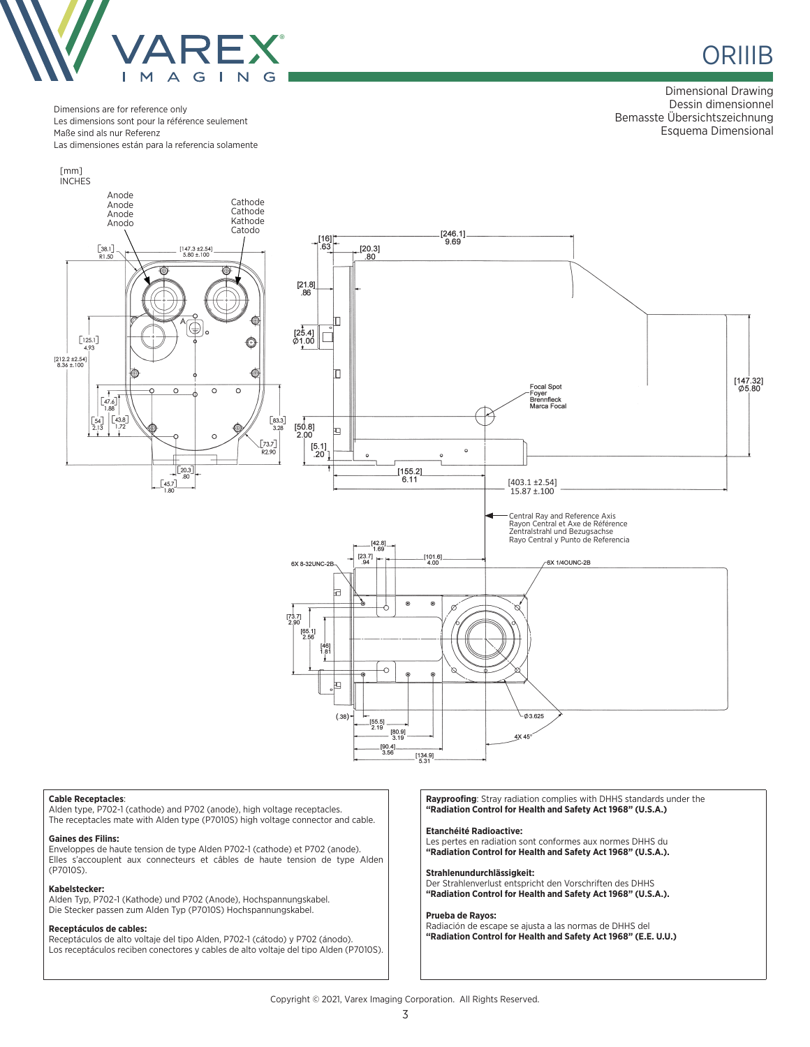

# **ORIIIB**

Dimensional Drawing Dessin dimensionnel Bemasste Übersichtszeichnung Esquema Dimensional

Dimensions are for reference only Les dimensions sont pour la référence seulement Maße sind als nur Referenz Las dimensiones están para la referencia solamente



#### **Cable Receptacles**:

Alden type, P702-1 (cathode) and P702 (anode), high voltage receptacles. The receptacles mate with Alden type (P7010S) high voltage connector and cable.

#### **Gaines des Filins:**

Enveloppes de haute tension de type Alden P702-1 (cathode) et P702 (anode). Elles s'accouplent aux connecteurs et câbles de haute tension de type Alden (P7010S).

#### **Kabelstecker:**

Alden Typ, P702-1 (Kathode) und P702 (Anode), Hochspannungskabel. Die Stecker passen zum Alden Typ (P7010S) Hochspannungskabel.

### **Receptáculos de cables:**

Receptáculos de alto voltaje del tipo Alden, P702-1 (cátodo) y P702 (ánodo). Los receptáculos reciben conectores y cables de alto voltaje del tipo Alden (P7010S). **Rayproofing**: Stray radiation complies with DHHS standards under the **"Radiation Control for Health and Safety Act 1968" (U.S.A.)**

#### **Etanchéité Radioactive:**

Les pertes en radiation sont conformes aux normes DHHS du **"Radiation Control for Health and Safety Act 1968" (U.S.A.).**

#### **Strahlenundurchlässigkeit:**

Der Strahlenverlust entspricht den Vorschriften des DHHS **"Radiation Control for Health and Safety Act 1968" (U.S.A.).**

#### **Prueba de Rayos:**

Radiación de escape se ajusta a las normas de DHHS del **"Radiation Control for Health and Safety Act 1968" (E.E. U.U.)**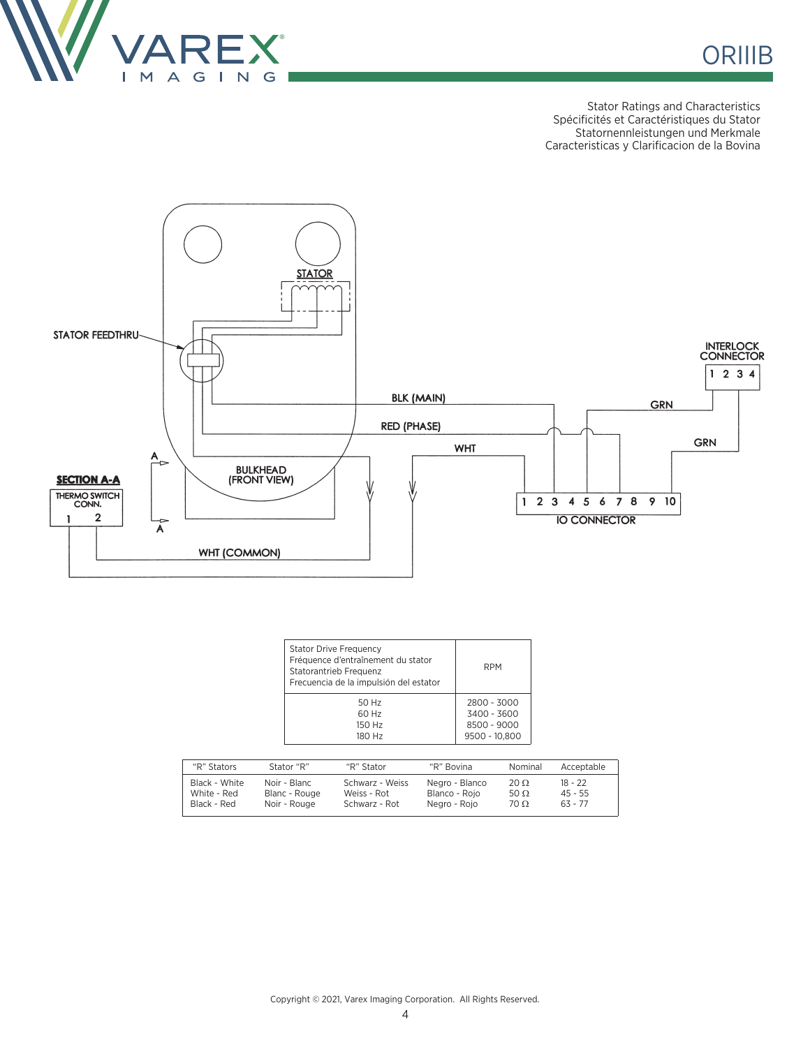

Stator Ratings and Characteristics Spécificités et Caractéristiques du Stator Statornennleistungen und Merkmale Caracteristicas y Clarificacion de la Bovina



| <b>Stator Drive Frequency</b><br>Fréquence d'entraînement du stator<br>Statorantrieb Frequenz<br>Frecuencia de la impulsión del estator | <b>RPM</b>    |
|-----------------------------------------------------------------------------------------------------------------------------------------|---------------|
| 50 Hz                                                                                                                                   | 2800 - 3000   |
| 60 Hz                                                                                                                                   | 3400 - 3600   |
| 150 Hz                                                                                                                                  | 8500 - 9000   |
| 180 Hz                                                                                                                                  | 9500 - 10.800 |

| "R" Stators   | Stator "R"    | "R" Stator      | "R" Bovina     | Nominal     | Acceptable |
|---------------|---------------|-----------------|----------------|-------------|------------|
| Black - White | Noir - Blanc  | Schwarz - Weiss | Negro - Blanco | $20 \Omega$ | $18 - 22$  |
| White - Red   | Blanc - Rouge | Weiss - Rot     | Blanco - Roio  | 50 $\Omega$ | $45 - 55$  |
| Black - Red   | Noir - Rouge  | Schwarz - Rot   | Negro - Rojo   | $70 \Omega$ | $63 - 77$  |

Copyright © 2021, Varex Imaging Corporation. All Rights Reserved.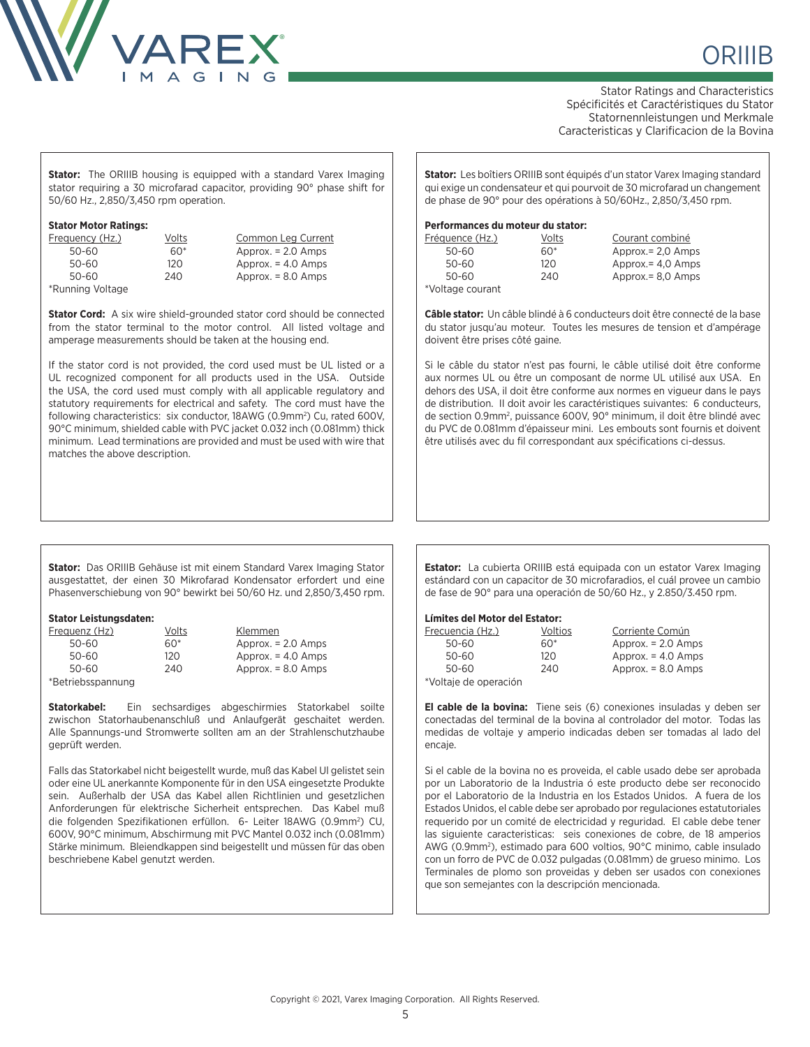

Stator Ratings and Characteristics Spécificités et Caractéristiques du Stator Statornennleistungen und Merkmale Caracteristicas y Clarificacion de la Bovina

> $Approx. = 2,0$  Amps  $Approx. = 4,0$  Amps Approx.= 8,0 Amps

**Stator:** The ORIIIB housing is equipped with a standard Varex Imaging stator requiring a 30 microfarad capacitor, providing 90° phase shift for 50/60 Hz., 2,850/3,450 rpm operation.

## **Stator Motor Ratings:**

| Frequency (Hz.)  |   |
|------------------|---|
| 50-60            |   |
| 50-60            |   |
| 50-60            | í |
| *Running Voltage |   |

Volts Common Leg Current  $60^*$  Approx. = 2.0 Amps  $120$  Approx. = 4.0 Amps 50-60 240 Approx. = 8.0 Amps

**Stator Cord:** A six wire shield-grounded stator cord should be connected from the stator terminal to the motor control. All listed voltage and amperage measurements should be taken at the housing end.

If the stator cord is not provided, the cord used must be UL listed or a UL recognized component for all products used in the USA. Outside the USA, the cord used must comply with all applicable regulatory and statutory requirements for electrical and safety. The cord must have the following characteristics: six conductor, 18AWG (0.9mm<sup>2</sup>) Cu, rated 600V, 90°C minimum, shielded cable with PVC jacket 0.032 inch (0.081mm) thick minimum. Lead terminations are provided and must be used with wire that matches the above description.

**Stator:** Les boîtiers ORIIIB sont équipés d'un stator Varex Imaging standard qui exige un condensateur et qui pourvoit de 30 microfarad un changement de phase de 90° pour des opérations à 50/60Hz., 2,850/3,450 rpm.

## **Performances du moteur du stator:**

| Fréquence (Hz.)  | Volts | Courant combiné    |
|------------------|-------|--------------------|
| 50-60            | 60*   | Approx. $= 2.0$ Am |
| 50-60            | 120   | Approx. $=$ 4.0 Am |
| 50-60            | 240   | Approx. $= 8.0$ Am |
| *Voltage courant |       |                    |

**Câble stator:** Un câble blindé à 6 conducteurs doit être connecté de la base du stator jusqu'au moteur. Toutes les mesures de tension et d'ampérage doivent être prises côté gaine.

Si le câble du stator n'est pas fourni, le câble utilisé doit être conforme aux normes UL ou être un composant de norme UL utilisé aux USA. En dehors des USA, il doit être conforme aux normes en vigueur dans le pays de distribution. II doit avoir les caractéristiques suivantes: 6 conducteurs, de section 0.9mm2 , puissance 600V, 90° minimum, il doit être blindé avec du PVC de 0.081mm d'épaisseur mini. Les embouts sont fournis et doivent être utilisés avec du fil correspondant aux spécifications ci-dessus.

**Stator:** Das ORIIIB Gehäuse ist mit einem Standard Varex Imaging Stator ausgestattet, der einen 30 Mikrofarad Kondensator erfordert und eine Phasenverschiebung von 90° bewirkt bei 50/60 Hz. und 2,850/3,450 rpm.

### **Stator Leistungsdaten:**

| Freauenz (Hz)     | Volts | Klemmen              |
|-------------------|-------|----------------------|
| 50-60             | 60*   | Approx. $= 2.0$ Amps |
| 50-60             | 120   | Approx. $=$ 4.0 Amps |
| 50-60             | 240   | Approx. $= 8.0$ Amps |
| *Betriebsspannung |       |                      |

**Statorkabel:** Ein sechsardiges abgeschirmies Statorkabel soilte zwischon Statorhaubenanschluß und Anlaufgerät geschaitet werden. Alle Spannungs-und Stromwerte sollten am an der Strahlenschutzhaube geprüft werden.

Falls das Statorkabel nicht beigestellt wurde, muß das Kabel Ul gelistet sein oder eine UL anerkannte Komponente für in den USA eingesetzte Produkte sein. Außerhalb der USA das Kabel allen Richtlinien und gesetzlichen Anforderungen für elektrische Sicherheit entsprechen. Das Kabel muß die folgenden Spezifikationen erfüllon. 6- Leiter 18AWG (0.9mm2 ) CU, 600V, 90°C minimum, Abschirmung mit PVC Mantel 0.032 inch (0.081mm) Stärke minimum. Bleiendkappen sind beigestellt und müssen für das oben beschriebene Kabel genutzt werden.

**Estator:** La cubierta ORIIIB está equipada con un estator Varex Imaging estándard con un capacitor de 30 microfaradios, el cuál provee un cambio de fase de 90° para una operación de 50/60 Hz., y 2.850/3.450 rpm.

### **Límites del Motor del Estator:**

| Frecuencia (Hz.)      | Voltios | Corriente Común      |
|-----------------------|---------|----------------------|
| 50-60                 | 60*     | Approx. $= 2.0$ Amps |
| 50-60                 | 120     | Approx. $=$ 4.0 Amps |
| 50-60                 | 240     | Approx. $= 8.0$ Amps |
| *Voltaje de operación |         |                      |

**El cable de la bovina:** Tiene seis (6) conexiones insuladas y deben ser conectadas del terminal de la bovina al controlador del motor. Todas las medidas de voltaje y amperio indicadas deben ser tomadas al lado del encaje.

Si el cable de la bovina no es proveida, el cable usado debe ser aprobada por un Laboratorio de la Industria ó este producto debe ser reconocido por el Laboratorio de la Industria en los Estados Unidos. A fuera de los Estados Unidos, el cable debe ser aprobado por regulaciones estatutoriales requerido por un comité de electricidad y reguridad. El cable debe tener las siguiente caracteristicas: seis conexiones de cobre, de 18 amperios AWG (0.9mm<sup>2</sup>), estimado para 600 voltios, 90°C minimo, cable insulado con un forro de PVC de 0.032 pulgadas (0.081mm) de grueso minimo. Los Terminales de plomo son proveidas y deben ser usados con conexiones que son semejantes con la descripción mencionada.